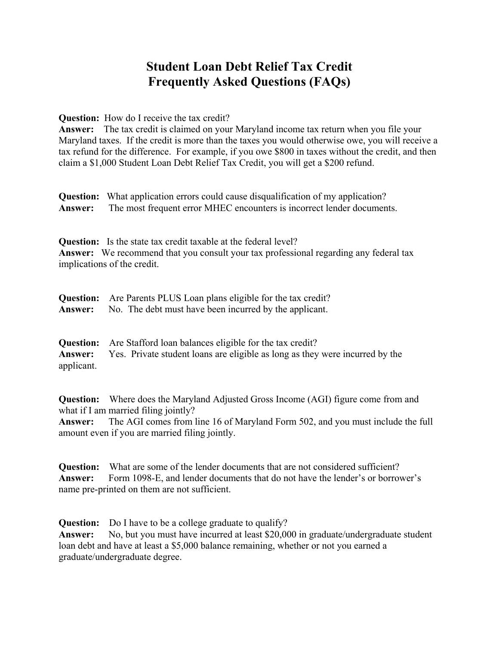## **Student Loan Debt Relief Tax Credit Frequently Asked Questions (FAQs)**

**Question:** How do I receive the tax credit?

**Answer:** The tax credit is claimed on your Maryland income tax return when you file your Maryland taxes. If the credit is more than the taxes you would otherwise owe, you will receive a tax refund for the difference. For example, if you owe \$800 in taxes without the credit, and then claim a \$1,000 Student Loan Debt Relief Tax Credit, you will get a \$200 refund.

**Question:** What application errors could cause disqualification of my application? **Answer:** The most frequent error MHEC encounters is incorrect lender documents.

**Question:** Is the state tax credit taxable at the federal level? **Answer:** We recommend that you consult your tax professional regarding any federal tax implications of the credit.

| <b>Question:</b> Are Parents PLUS Loan plans eligible for the tax credit? |
|---------------------------------------------------------------------------|
| <b>Answer:</b> No. The debt must have been incurred by the applicant.     |

**Question:** Are Stafford loan balances eligible for the tax credit? **Answer:** Yes. Private student loans are eligible as long as they were incurred by the applicant.

**Question:** Where does the Maryland Adjusted Gross Income (AGI) figure come from and what if I am married filing jointly?

**Answer:** The AGI comes from line 16 of Maryland Form 502, and you must include the full amount even if you are married filing jointly.

**Question:** What are some of the lender documents that are not considered sufficient? **Answer:** Form 1098-E, and lender documents that do not have the lender's or borrower's name pre-printed on them are not sufficient.

**Question:** Do I have to be a college graduate to qualify?

**Answer:** No, but you must have incurred at least \$20,000 in graduate/undergraduate student loan debt and have at least a \$5,000 balance remaining, whether or not you earned a graduate/undergraduate degree.